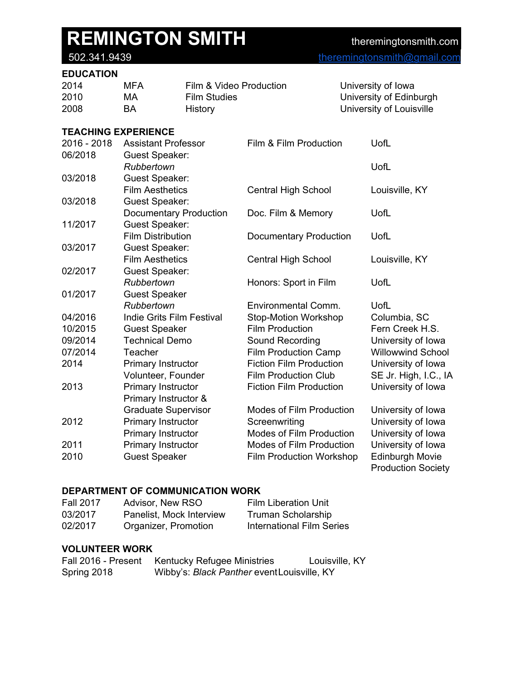### [theremingtonsmith@gmail.com](mailto:theremingtonsmith@gmail.com)

| 2014 | MFA       | Film & Video Production | University of Iowa       |
|------|-----------|-------------------------|--------------------------|
| 2010 | MA        | Film Studies            | University of Edinburgh  |
| 2008 | <b>BA</b> | History                 | University of Louisville |

### **TEACHING EXPERIENCE**

| 2016 - 2018 | <b>Assistant Professor</b>       | Film & Film Production          | UofL                                                |
|-------------|----------------------------------|---------------------------------|-----------------------------------------------------|
| 06/2018     | <b>Guest Speaker:</b>            |                                 |                                                     |
|             | Rubbertown                       |                                 | UofL                                                |
| 03/2018     | <b>Guest Speaker:</b>            |                                 |                                                     |
|             | <b>Film Aesthetics</b>           | <b>Central High School</b>      | Louisville, KY                                      |
| 03/2018     | <b>Guest Speaker:</b>            |                                 |                                                     |
|             | <b>Documentary Production</b>    | Doc. Film & Memory              | UofL                                                |
| 11/2017     | <b>Guest Speaker:</b>            |                                 |                                                     |
|             | <b>Film Distribution</b>         | Documentary Production          | UofL                                                |
| 03/2017     | <b>Guest Speaker:</b>            |                                 |                                                     |
|             | <b>Film Aesthetics</b>           | Central High School             | Louisville, KY                                      |
| 02/2017     | <b>Guest Speaker:</b>            |                                 |                                                     |
|             | Rubbertown                       | Honors: Sport in Film           | UofL                                                |
| 01/2017     | <b>Guest Speaker</b>             |                                 |                                                     |
|             | Rubbertown                       | Environmental Comm.             | UofL                                                |
| 04/2016     | <b>Indie Grits Film Festival</b> | <b>Stop-Motion Workshop</b>     | Columbia, SC                                        |
| 10/2015     | <b>Guest Speaker</b>             | <b>Film Production</b>          | Fern Creek H.S.                                     |
| 09/2014     | <b>Technical Demo</b>            | Sound Recording                 | University of Iowa                                  |
| 07/2014     | <b>Teacher</b>                   | <b>Film Production Camp</b>     | <b>Willowwind School</b>                            |
| 2014        | Primary Instructor               | <b>Fiction Film Production</b>  | University of Iowa                                  |
|             | Volunteer, Founder               | <b>Film Production Club</b>     | SE Jr. High, I.C., IA                               |
| 2013        | Primary Instructor               | <b>Fiction Film Production</b>  | University of Iowa                                  |
|             | Primary Instructor &             |                                 |                                                     |
|             | <b>Graduate Supervisor</b>       | <b>Modes of Film Production</b> | University of Iowa                                  |
| 2012        | Primary Instructor               | Screenwriting                   | University of Iowa                                  |
|             | Primary Instructor               | <b>Modes of Film Production</b> | University of Iowa                                  |
| 2011        | Primary Instructor               | <b>Modes of Film Production</b> | University of Iowa                                  |
| 2010        | <b>Guest Speaker</b>             | Film Production Workshop        | <b>Edinburgh Movie</b><br><b>Production Society</b> |

### **DEPARTMENT OF COMMUNICATION WORK**

| <b>Fall 2017</b> | Advisor, New RSO         | <b>Film Liberation Unit</b>      |
|------------------|--------------------------|----------------------------------|
| 03/2017          | Panelist, Mock Interview | Truman Scholarship               |
| 02/2017          | Organizer, Promotion     | <b>International Film Series</b> |

### **VOLUNTEER WORK**

| Fall 2016 - Present | Kentucky Refugee Ministries                 | Louisville, KY |
|---------------------|---------------------------------------------|----------------|
| Spring 2018         | Wibby's: Black Panther event Louisville, KY |                |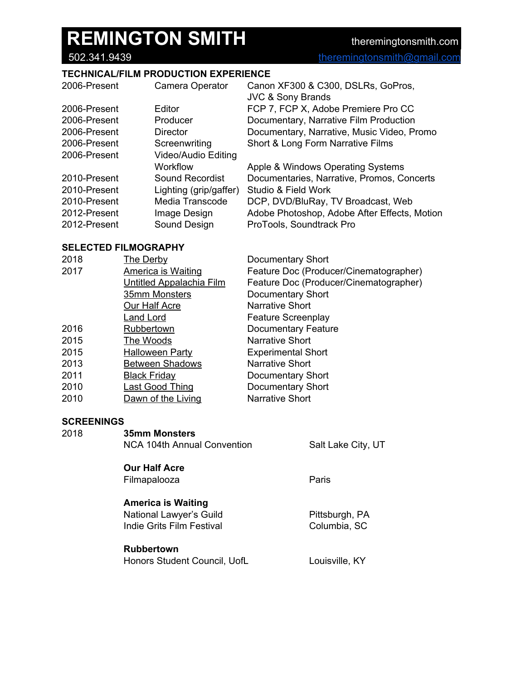### **TECHNICAL/FILM PRODUCTION EXPERIENCE**

| 2006-Present | Camera Operator        | Canon XF300 & C300, DSLRs, GoPros,<br><b>JVC &amp; Sony Brands</b> |
|--------------|------------------------|--------------------------------------------------------------------|
| 2006-Present | Editor                 | FCP 7, FCP X, Adobe Premiere Pro CC                                |
| 2006-Present | Producer               | Documentary, Narrative Film Production                             |
| 2006-Present | <b>Director</b>        | Documentary, Narrative, Music Video, Promo                         |
| 2006-Present | Screenwriting          | Short & Long Form Narrative Films                                  |
| 2006-Present | Video/Audio Editing    |                                                                    |
|              | Workflow               | Apple & Windows Operating Systems                                  |
| 2010-Present | Sound Recordist        | Documentaries, Narrative, Promos, Concerts                         |
| 2010-Present | Lighting (grip/gaffer) | Studio & Field Work                                                |
| 2010-Present | Media Transcode        | DCP, DVD/BluRay, TV Broadcast, Web                                 |
| 2012-Present | Image Design           | Adobe Photoshop, Adobe After Effects, Motion                       |
| 2012-Present | Sound Design           | ProTools, Soundtrack Pro                                           |

#### **SELECTED FILMOGRAPHY**

| 2018 | <b>The Derby</b>                | <b>Documentary Short</b>               |
|------|---------------------------------|----------------------------------------|
| 2017 | <b>America is Waiting</b>       | Feature Doc (Producer/Cinematographer) |
|      | <b>Untitled Appalachia Film</b> | Feature Doc (Producer/Cinematographer) |
|      | 35mm Monsters                   | <b>Documentary Short</b>               |
|      | Our Half Acre                   | <b>Narrative Short</b>                 |
|      | Land Lord                       | <b>Feature Screenplay</b>              |
| 2016 | Rubbertown                      | Documentary Feature                    |
| 2015 | The Woods                       | <b>Narrative Short</b>                 |
| 2015 | <b>Halloween Party</b>          | <b>Experimental Short</b>              |
| 2013 | <b>Between Shadows</b>          | <b>Narrative Short</b>                 |
| 2011 | <b>Black Friday</b>             | Documentary Short                      |
| 2010 | <b>Last Good Thing</b>          | Documentary Short                      |
| 2010 | Dawn of the Living              | <b>Narrative Short</b>                 |

#### **SCREENINGS**

| 2018 | <b>35mm Monsters</b><br>NCA 104th Annual Convention                               | Salt Lake City, UT             |
|------|-----------------------------------------------------------------------------------|--------------------------------|
|      | <b>Our Half Acre</b><br>Filmapalooza                                              | Paris                          |
|      | <b>America is Waiting</b><br>National Lawyer's Guild<br>Indie Grits Film Festival | Pittsburgh, PA<br>Columbia, SC |
|      | <b>Rubbertown</b><br>Honors Student Council, UofL                                 | Louisville, KY                 |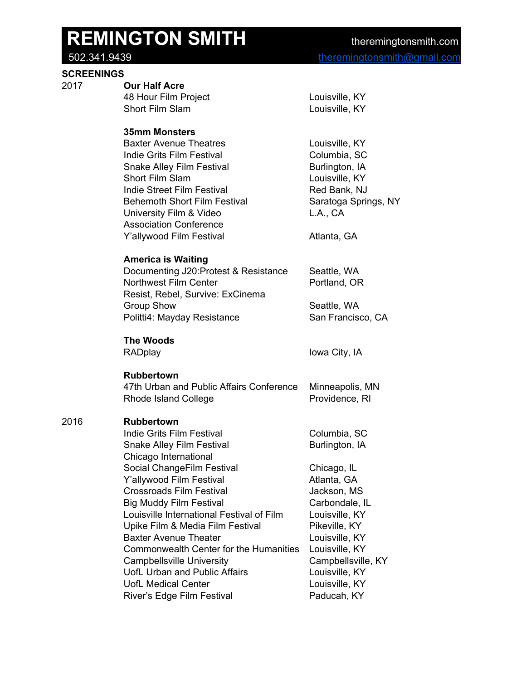#### **SCREENINGS**

## 2017 **Our Half Acre**

| Louisville, KY |
|----------------|
| Louisville, KY |
|                |

#### **35mm Monsters**

| <b>Baxter Avenue Theatres</b>       | Louisville, KY       |
|-------------------------------------|----------------------|
| Indie Grits Film Festival           | Columbia, SC         |
| <b>Snake Alley Film Festival</b>    | Burlington, IA       |
| Short Film Slam                     | Louisville, KY       |
| Indie Street Film Festival          | Red Bank, NJ         |
| <b>Behemoth Short Film Festival</b> | Saratoga Springs, NY |
| University Film & Video             | L.A., CA             |
| <b>Association Conference</b>       |                      |
| Y'allywood Film Festival            | Atlanta, GA          |

### **America is Waiting**

| Seattle, WA       |
|-------------------|
| Portland, OR      |
|                   |
| Seattle, WA       |
| San Francisco, CA |
|                   |

## **The Woods**

RADplay **Iowa City**, IA

### **Rubbertown**

| 47th Urban and Public Affairs Conference | Minneapolis, MN |
|------------------------------------------|-----------------|
| Rhode Island College                     | Providence, RI  |

### 2016 **Rubbertown**

| Indie Grits Film Festival                     | Columbia, SC       |
|-----------------------------------------------|--------------------|
| <b>Snake Alley Film Festival</b>              | Burlington, IA     |
| Chicago International                         |                    |
| Social ChangeFilm Festival                    | Chicago, IL        |
| Y'allywood Film Festival                      | Atlanta, GA        |
| Crossroads Film Festival                      | Jackson, MS        |
| <b>Big Muddy Film Festival</b>                | Carbondale, IL     |
| Louisville International Festival of Film     | Louisville, KY     |
| Upike Film & Media Film Festival              | Pikeville, KY      |
| <b>Baxter Avenue Theater</b>                  | Louisville, KY     |
| <b>Commonwealth Center for the Humanities</b> | Louisville, KY     |
| <b>Campbellsville University</b>              | Campbellsville, KY |
| UofL Urban and Public Affairs                 | Louisville, KY     |
| <b>UofL Medical Center</b>                    | Louisville, KY     |
| River's Edge Film Festival                    | Paducah, KY        |
|                                               |                    |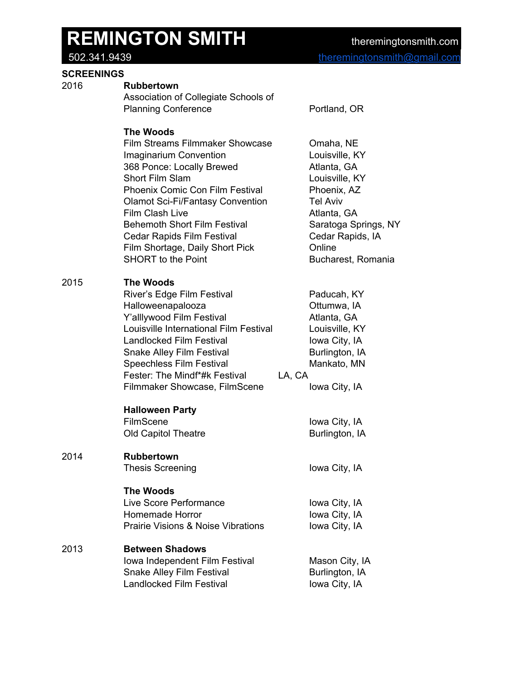#### **SCREENINGS**

- 2016 **Rubbertown**
	- Association of Collegiate Schools of Planning Conference Portland, OR

#### **The Woods**

Film Streams Filmmaker Showcase Omaha, NE Imaginarium Convention **Letter Convention** Louisville, KY 368 Ponce: Locally Brewed Atlanta, GA Short Film Slam **Louisville, KY** Phoenix Comic Con Film Festival Phoenix, AZ Olamot Sci-Fi/Fantasy Convention Tel Aviv Film Clash Live **Atlanta**, GA Behemoth Short Film Festival Saratoga Springs, NY Cedar Rapids Film Festival Cedar Rapids, IA Film Shortage, Daily Short Pick **Chail** Chaine SHORT to the Point **Bucharest**, Romania

#### 2015 **The Woods**

| River's Edge Film Festival             | Paducah, KY    |
|----------------------------------------|----------------|
| Halloweenapalooza                      | Ottumwa, IA    |
| Y'alllywood Film Festival              | Atlanta, GA    |
| Louisville International Film Festival | Louisville, KY |
| <b>Landlocked Film Festival</b>        | Iowa City, IA  |
| <b>Snake Alley Film Festival</b>       | Burlington, IA |
| <b>Speechless Film Festival</b>        | Mankato, MN    |
| Fester: The Mindf*#k Festival          | LA, CA         |
| Filmmaker Showcase, FilmScene          | Iowa City, IA  |

#### **Halloween Party**

FilmScene Iowa City, IA Old Capitol Theatre **Burlington**, IA

### 2014 **Rubbertown**

Thesis Screening **Internal City**, IA

#### **The Woods**

| Live Score Performance                        | Iowa City, IA |
|-----------------------------------------------|---------------|
| Homemade Horror                               | Iowa City, IA |
| <b>Prairie Visions &amp; Noise Vibrations</b> | Iowa City, IA |

#### 2013 **Between Shadows Iowa Independent Film Festival Mason City, IA**

| TOWA THURDRITURNI FIIHT FRONTAI | <b>MASULL CITY, IP</b> |
|---------------------------------|------------------------|
| Snake Alley Film Festival       | Burlington, IA         |
| Landlocked Film Festival        | Iowa City, IA          |
|                                 |                        |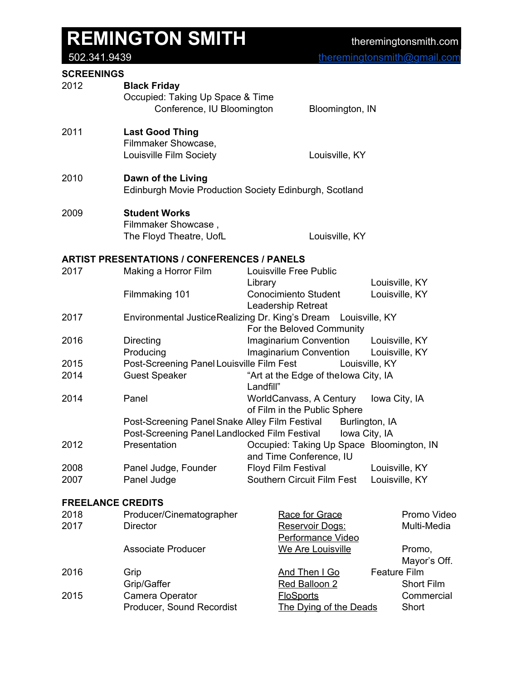[theremingtonsmith@gmail.com](mailto:theremingtonsmith@gmail.com)

#### **SCREENINGS**

| <b>SUREENINGS</b>        |                                                         |                                                               |                |                |
|--------------------------|---------------------------------------------------------|---------------------------------------------------------------|----------------|----------------|
| 2012                     | <b>Black Friday</b><br>Occupied: Taking Up Space & Time |                                                               |                |                |
|                          | Conference, IU Bloomington                              | Bloomington, IN                                               |                |                |
| 2011                     | <b>Last Good Thing</b>                                  |                                                               |                |                |
|                          | Filmmaker Showcase,                                     |                                                               |                |                |
|                          | Louisville Film Society                                 | Louisville, KY                                                |                |                |
| 2010                     | Dawn of the Living                                      | Edinburgh Movie Production Society Edinburgh, Scotland        |                |                |
|                          |                                                         |                                                               |                |                |
| 2009                     | <b>Student Works</b>                                    |                                                               |                |                |
|                          | Filmmaker Showcase,                                     |                                                               |                |                |
|                          | The Floyd Theatre, UofL                                 | Louisville, KY                                                |                |                |
|                          | <b>ARTIST PRESENTATIONS / CONFERENCES / PANELS</b>      |                                                               |                |                |
| 2017                     | Making a Horror Film                                    | Louisville Free Public                                        |                |                |
|                          |                                                         | Library                                                       |                | Louisville, KY |
|                          | Filmmaking 101                                          | <b>Conocimiento Student</b>                                   |                | Louisville, KY |
|                          |                                                         | Leadership Retreat                                            |                |                |
| 2017                     | Environmental JusticeRealizing Dr. King's Dream         | Louisville, KY<br>For the Beloved Community                   |                |                |
| 2016                     | <b>Directing</b>                                        | Imaginarium Convention Louisville, KY                         |                |                |
|                          | Producing                                               | <b>Imaginarium Convention</b>                                 | Louisville, KY |                |
| 2015                     | Post-Screening Panel Louisville Film Fest               | Louisville, KY                                                |                |                |
| 2014                     | <b>Guest Speaker</b>                                    | "Art at the Edge of thelowa City, IA<br>Landfill"             |                |                |
| 2014                     | Panel                                                   | WorldCanvass, A Century<br>of Film in the Public Sphere       | Iowa City, IA  |                |
|                          |                                                         | Post-Screening Panel Snake Alley Film Festival Burlington, IA |                |                |
|                          |                                                         | Post-Screening Panel Landlocked Film Festival lowa City, IA   |                |                |
| 2012                     | Presentation                                            | Occupied: Taking Up Space Bloomington, IN                     |                |                |
|                          |                                                         | and Time Conference, IU                                       |                |                |
| 2008                     | Panel Judge, Founder                                    | <b>Floyd Film Festival</b>                                    |                | Louisville, KY |
| 2007                     | Panel Judge                                             | Southern Circuit Film Fest                                    |                | Louisville, KY |
| <b>FREELANCE CREDITS</b> |                                                         |                                                               |                |                |
| 2018                     | Producer/Cinematographer                                | Race for Grace                                                |                | Promo Video    |
| 2017                     | <b>Director</b>                                         | Reservoir Dogs:<br>Performance Video                          |                | Multi-Media    |
|                          | <b>Associate Producer</b>                               | We Are Louisville                                             |                | Promo,         |
|                          |                                                         |                                                               |                | Mayor's Off.   |
| 2016                     | Grip                                                    | And Then I Go                                                 | Feature Film   |                |
|                          | Grip/Gaffer                                             | Red Balloon 2                                                 |                | Short Film     |
| 2015                     | Camera Operator                                         | <b>FloSports</b>                                              |                | Commercial     |
|                          | Producer, Sound Recordist                               | The Dying of the Deads                                        |                | Short          |
|                          |                                                         |                                                               |                |                |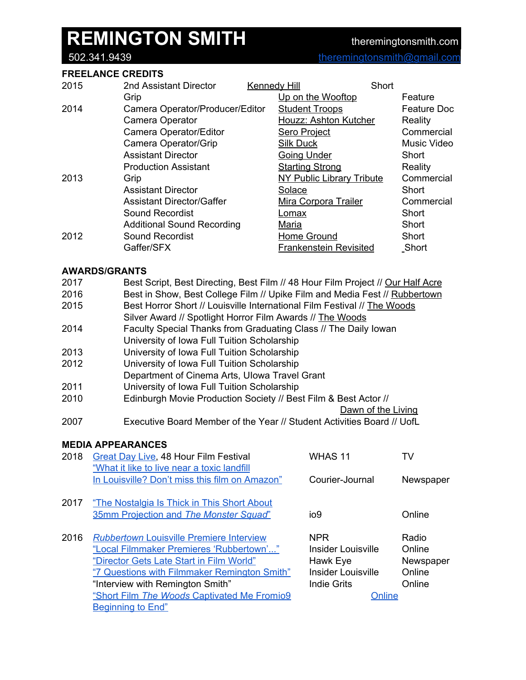#### **FREELANCE CREDITS**

| 2015 | 2nd Assistant Director            | Kennedy Hill                  | Short              |
|------|-----------------------------------|-------------------------------|--------------------|
|      | Grip                              | Up on the Wooftop             | Feature            |
| 2014 | Camera Operator/Producer/Editor   | <b>Student Troops</b>         | <b>Feature Doc</b> |
|      | Camera Operator                   | Houzz: Ashton Kutcher         | Reality            |
|      | Camera Operator/Editor            | <b>Sero Project</b>           | Commercial         |
|      | Camera Operator/Grip              | <b>Silk Duck</b>              | Music Video        |
|      | <b>Assistant Director</b>         | <b>Going Under</b>            | Short              |
|      | <b>Production Assistant</b>       | <b>Starting Strong</b>        | Reality            |
| 2013 | Grip                              | NY Public Library Tribute     | Commercial         |
|      | <b>Assistant Director</b>         | Solace                        | Short              |
|      | <b>Assistant Director/Gaffer</b>  | <b>Mira Corpora Trailer</b>   | Commercial         |
|      | Sound Recordist                   | Lomax                         | Short              |
|      | <b>Additional Sound Recording</b> | Maria                         | Short              |
| 2012 | <b>Sound Recordist</b>            | Home Ground                   | Short              |
|      | Gaffer/SFX                        | <b>Frankenstein Revisited</b> | Short              |

#### **AWARDS/GRANTS**

| 2017<br>2016<br>2015 | Best Script, Best Directing, Best Film // 48 Hour Film Project // Our Half Acre<br>Best in Show, Best College Film // Upike Film and Media Fest // Rubbertown<br>Best Horror Short // Louisville International Film Festival // The Woods<br>Silver Award // Spotlight Horror Film Awards // The Woods |                                                                 |           |  |
|----------------------|--------------------------------------------------------------------------------------------------------------------------------------------------------------------------------------------------------------------------------------------------------------------------------------------------------|-----------------------------------------------------------------|-----------|--|
| 2014                 | University of Iowa Full Tuition Scholarship                                                                                                                                                                                                                                                            | Faculty Special Thanks from Graduating Class // The Daily Iowan |           |  |
| 2013                 | University of Iowa Full Tuition Scholarship                                                                                                                                                                                                                                                            |                                                                 |           |  |
| 2012                 | University of Iowa Full Tuition Scholarship<br>Department of Cinema Arts, Ulowa Travel Grant                                                                                                                                                                                                           |                                                                 |           |  |
| 2011                 | University of Iowa Full Tuition Scholarship                                                                                                                                                                                                                                                            |                                                                 |           |  |
| 2010                 | Edinburgh Movie Production Society // Best Film & Best Actor //                                                                                                                                                                                                                                        |                                                                 |           |  |
|                      | Dawn of the Living                                                                                                                                                                                                                                                                                     |                                                                 |           |  |
| 2007                 | Executive Board Member of the Year // Student Activities Board // UofL                                                                                                                                                                                                                                 |                                                                 |           |  |
|                      | <b>MEDIA APPEARANCES</b>                                                                                                                                                                                                                                                                               |                                                                 |           |  |
| 2018                 | <b>Great Day Live, 48 Hour Film Festival</b>                                                                                                                                                                                                                                                           | <b>WHAS 11</b>                                                  | TV        |  |
|                      | "What it like to live near a toxic landfill                                                                                                                                                                                                                                                            |                                                                 |           |  |
|                      | In Louisville? Don't miss this film on Amazon"                                                                                                                                                                                                                                                         | Courier-Journal                                                 | Newspaper |  |
| 2017                 | "The Nostalgia Is Thick in This Short About                                                                                                                                                                                                                                                            |                                                                 |           |  |
|                      | 35mm Projection and The Monster Squad"                                                                                                                                                                                                                                                                 | io9                                                             | Online    |  |
| 2016                 | <b>Rubbertown Louisville Premiere Interview</b>                                                                                                                                                                                                                                                        | <b>NPR</b>                                                      | Radio     |  |
|                      | "Local Filmmaker Premieres 'Rubbertown'"                                                                                                                                                                                                                                                               | Insider Louisville                                              | Online    |  |
|                      | "Director Gets Late Start in Film World"                                                                                                                                                                                                                                                               | Hawk Eye                                                        | Newspaper |  |
|                      | "7 Questions with Filmmaker Remington Smith"                                                                                                                                                                                                                                                           | <b>Insider Louisville</b>                                       | Online    |  |
|                      | "Interview with Remington Smith"                                                                                                                                                                                                                                                                       | <b>Indie Grits</b>                                              | Online    |  |
|                      | "Short Film The Woods Captivated Me Fromio9                                                                                                                                                                                                                                                            | Online                                                          |           |  |
|                      | <b>Beginning to End"</b>                                                                                                                                                                                                                                                                               |                                                                 |           |  |